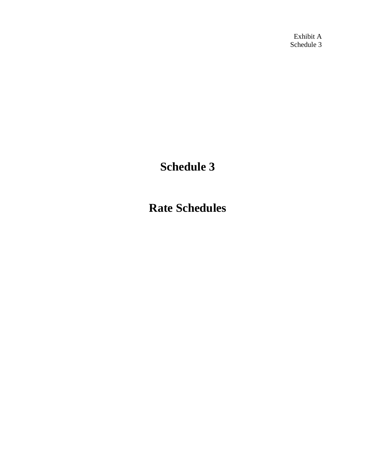Exhibit A Schedule 3

# **Schedule 3**

**Rate Schedules**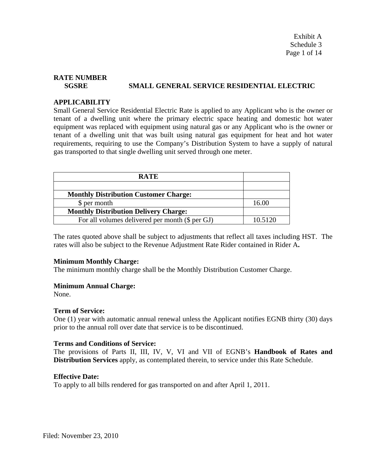Exhibit A Schedule 3 Page 1 of 14

# **RATE NUMBER SGSRE SMALL GENERAL SERVICE RESIDENTIAL ELECTRIC**

#### **APPLICABILITY**

Small General Service Residential Electric Rate is applied to any Applicant who is the owner or tenant of a dwelling unit where the primary electric space heating and domestic hot water equipment was replaced with equipment using natural gas or any Applicant who is the owner or tenant of a dwelling unit that was built using natural gas equipment for heat and hot water requirements, requiring to use the Company's Distribution System to have a supply of natural gas transported to that single dwelling unit served through one meter.

| <b>RATE</b>                                     |         |
|-------------------------------------------------|---------|
|                                                 |         |
| <b>Monthly Distribution Customer Charge:</b>    |         |
| \$ per month                                    | 16.00   |
| <b>Monthly Distribution Delivery Charge:</b>    |         |
| For all volumes delivered per month (\$ per GJ) | 10.5120 |

The rates quoted above shall be subject to adjustments that reflect all taxes including HST. The rates will also be subject to the Revenue Adjustment Rate Rider contained in Rider A**.**

#### **Minimum Monthly Charge:**

The minimum monthly charge shall be the Monthly Distribution Customer Charge.

#### **Minimum Annual Charge:**

None.

### **Term of Service:**

One (1) year with automatic annual renewal unless the Applicant notifies EGNB thirty (30) days prior to the annual roll over date that service is to be discontinued.

#### **Terms and Conditions of Service:**

The provisions of Parts II, III, IV, V, VI and VII of EGNB's **Handbook of Rates and Distribution Services** apply, as contemplated therein, to service under this Rate Schedule.

### **Effective Date:**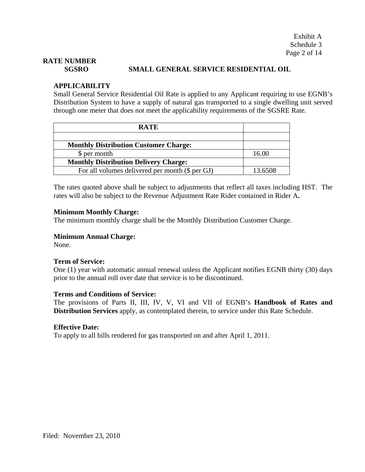# **RATE NUMBER**

### **SGSRO SMALL GENERAL SERVICE RESIDENTIAL OIL**

# **APPLICABILITY**

Small General Service Residential Oil Rate is applied to any Applicant requiring to use EGNB's Distribution System to have a supply of natural gas transported to a single dwelling unit served through one meter that does not meet the applicability requirements of the SGSRE Rate.

| <b>RATE</b>                                     |         |
|-------------------------------------------------|---------|
|                                                 |         |
| <b>Monthly Distribution Customer Charge:</b>    |         |
| \$ per month                                    | 16.00   |
| <b>Monthly Distribution Delivery Charge:</b>    |         |
| For all volumes delivered per month (\$ per GJ) | 13.6508 |

The rates quoted above shall be subject to adjustments that reflect all taxes including HST. The rates will also be subject to the Revenue Adjustment Rate Rider contained in Rider A**.**

#### **Minimum Monthly Charge:**

The minimum monthly charge shall be the Monthly Distribution Customer Charge.

#### **Minimum Annual Charge:**

None.

### **Term of Service:**

One (1) year with automatic annual renewal unless the Applicant notifies EGNB thirty (30) days prior to the annual roll over date that service is to be discontinued.

#### **Terms and Conditions of Service:**

The provisions of Parts II, III, IV, V, VI and VII of EGNB's **Handbook of Rates and Distribution Services** apply, as contemplated therein, to service under this Rate Schedule.

#### **Effective Date:**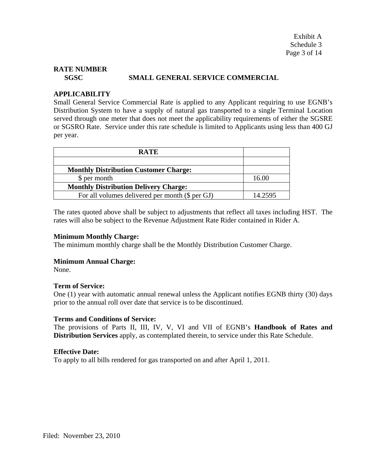Exhibit A Schedule 3 Page 3 of 14

# **RATE NUMBER**

### **SGSC SMALL GENERAL SERVICE COMMERCIAL**

### **APPLICABILITY**

Small General Service Commercial Rate is applied to any Applicant requiring to use EGNB's Distribution System to have a supply of natural gas transported to a single Terminal Location served through one meter that does not meet the applicability requirements of either the SGSRE or SGSRO Rate. Service under this rate schedule is limited to Applicants using less than 400 GJ per year.

| <b>RATE</b>                                     |         |
|-------------------------------------------------|---------|
|                                                 |         |
| <b>Monthly Distribution Customer Charge:</b>    |         |
| \$ per month                                    | 16.00   |
| <b>Monthly Distribution Delivery Charge:</b>    |         |
| For all volumes delivered per month (\$ per GJ) | 14.2595 |

The rates quoted above shall be subject to adjustments that reflect all taxes including HST. The rates will also be subject to the Revenue Adjustment Rate Rider contained in Rider A.

#### **Minimum Monthly Charge:**

The minimum monthly charge shall be the Monthly Distribution Customer Charge.

### **Minimum Annual Charge:**

None.

### **Term of Service:**

One (1) year with automatic annual renewal unless the Applicant notifies EGNB thirty (30) days prior to the annual roll over date that service is to be discontinued.

### **Terms and Conditions of Service:**

The provisions of Parts II, III, IV, V, VI and VII of EGNB's **Handbook of Rates and Distribution Services** apply, as contemplated therein, to service under this Rate Schedule.

### **Effective Date:**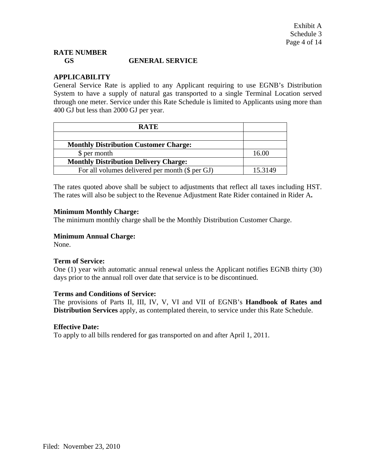# **RATE NUMBER GS GENERAL SERVICE**

# **APPLICABILITY**

General Service Rate is applied to any Applicant requiring to use EGNB's Distribution System to have a supply of natural gas transported to a single Terminal Location served through one meter. Service under this Rate Schedule is limited to Applicants using more than 400 GJ but less than 2000 GJ per year.

| <b>RATE</b>                                     |         |
|-------------------------------------------------|---------|
|                                                 |         |
| <b>Monthly Distribution Customer Charge:</b>    |         |
| \$ per month                                    | 16.00   |
| <b>Monthly Distribution Delivery Charge:</b>    |         |
| For all volumes delivered per month (\$ per GJ) | 15.3149 |

The rates quoted above shall be subject to adjustments that reflect all taxes including HST. The rates will also be subject to the Revenue Adjustment Rate Rider contained in Rider A**.** 

# **Minimum Monthly Charge:**

The minimum monthly charge shall be the Monthly Distribution Customer Charge.

# **Minimum Annual Charge:**

None.

### **Term of Service:**

One (1) year with automatic annual renewal unless the Applicant notifies EGNB thirty (30) days prior to the annual roll over date that service is to be discontinued.

### **Terms and Conditions of Service:**

The provisions of Parts II, III, IV, V, VI and VII of EGNB's **Handbook of Rates and Distribution Services** apply, as contemplated therein, to service under this Rate Schedule.

### **Effective Date:**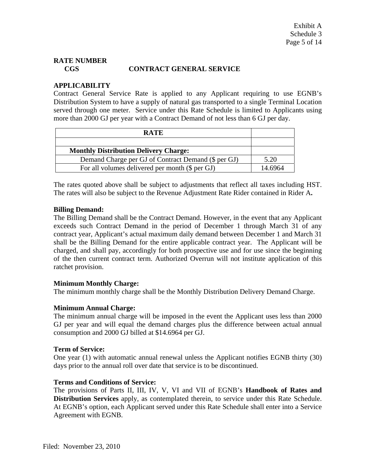# **RATE NUMBER CGS CONTRACT GENERAL SERVICE**

# **APPLICABILITY**

Contract General Service Rate is applied to any Applicant requiring to use EGNB's Distribution System to have a supply of natural gas transported to a single Terminal Location served through one meter. Service under this Rate Schedule is limited to Applicants using more than 2000 GJ per year with a Contract Demand of not less than 6 GJ per day.

| <b>RATE</b>                                         |         |
|-----------------------------------------------------|---------|
|                                                     |         |
| <b>Monthly Distribution Delivery Charge:</b>        |         |
| Demand Charge per GJ of Contract Demand (\$ per GJ) | 5.20    |
| For all volumes delivered per month (\$ per GJ)     | 14.6964 |

The rates quoted above shall be subject to adjustments that reflect all taxes including HST. The rates will also be subject to the Revenue Adjustment Rate Rider contained in Rider A**.**

### **Billing Demand:**

The Billing Demand shall be the Contract Demand. However, in the event that any Applicant exceeds such Contract Demand in the period of December 1 through March 31 of any contract year, Applicant's actual maximum daily demand between December 1 and March 31 shall be the Billing Demand for the entire applicable contract year. The Applicant will be charged, and shall pay, accordingly for both prospective use and for use since the beginning of the then current contract term. Authorized Overrun will not institute application of this ratchet provision.

### **Minimum Monthly Charge:**

The minimum monthly charge shall be the Monthly Distribution Delivery Demand Charge.

# **Minimum Annual Charge:**

The minimum annual charge will be imposed in the event the Applicant uses less than 2000 GJ per year and will equal the demand charges plus the difference between actual annual consumption and 2000 GJ billed at \$14.6964 per GJ.

### **Term of Service:**

One year (1) with automatic annual renewal unless the Applicant notifies EGNB thirty (30) days prior to the annual roll over date that service is to be discontinued.

# **Terms and Conditions of Service:**

The provisions of Parts II, III, IV, V, VI and VII of EGNB's **Handbook of Rates and Distribution Services** apply, as contemplated therein, to service under this Rate Schedule. At EGNB's option, each Applicant served under this Rate Schedule shall enter into a Service Agreement with EGNB.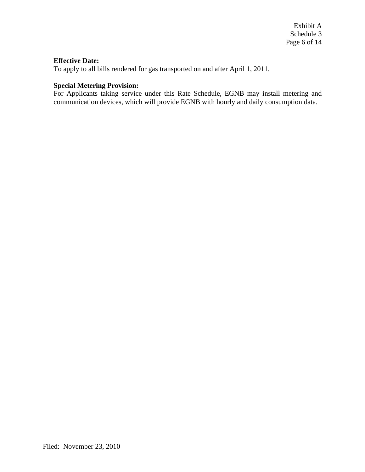# **Effective Date:**

To apply to all bills rendered for gas transported on and after April 1, 2011.

# **Special Metering Provision:**

For Applicants taking service under this Rate Schedule, EGNB may install metering and communication devices, which will provide EGNB with hourly and daily consumption data.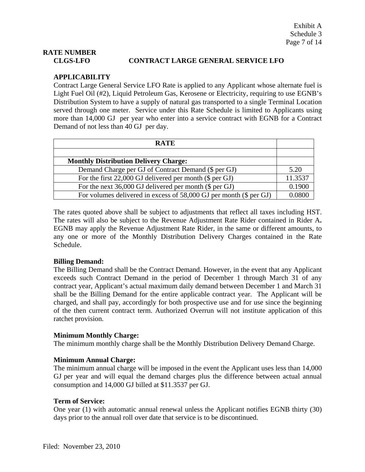# **RATE NUMBER**

# **CLGS-LFO CONTRACT LARGE GENERAL SERVICE LFO**

# **APPLICABILITY**

Contract Large General Service LFO Rate is applied to any Applicant whose alternate fuel is Light Fuel Oil (#2), Liquid Petroleum Gas, Kerosene or Electricity, requiring to use EGNB's Distribution System to have a supply of natural gas transported to a single Terminal Location served through one meter. Service under this Rate Schedule is limited to Applicants using more than 14,000 GJ per year who enter into a service contract with EGNB for a Contract Demand of not less than 40 GJ per day.

| <b>RATE</b>                                                        |         |
|--------------------------------------------------------------------|---------|
|                                                                    |         |
| <b>Monthly Distribution Delivery Charge:</b>                       |         |
| Demand Charge per GJ of Contract Demand (\$ per GJ)                | 5.20    |
| For the first $22,000$ GJ delivered per month (\$ per GJ)          | 11.3537 |
| For the next $36,000$ GJ delivered per month (\$ per GJ)           | 0.1900  |
| For volumes delivered in excess of 58,000 GJ per month (\$ per GJ) | U U8UL  |

The rates quoted above shall be subject to adjustments that reflect all taxes including HST. The rates will also be subject to the Revenue Adjustment Rate Rider contained in Rider A**.**  EGNB may apply the Revenue Adjustment Rate Rider, in the same or different amounts, to any one or more of the Monthly Distribution Delivery Charges contained in the Rate Schedule.

# **Billing Demand:**

The Billing Demand shall be the Contract Demand. However, in the event that any Applicant exceeds such Contract Demand in the period of December 1 through March 31 of any contract year, Applicant's actual maximum daily demand between December 1 and March 31 shall be the Billing Demand for the entire applicable contract year. The Applicant will be charged, and shall pay, accordingly for both prospective use and for use since the beginning of the then current contract term. Authorized Overrun will not institute application of this ratchet provision.

# **Minimum Monthly Charge:**

The minimum monthly charge shall be the Monthly Distribution Delivery Demand Charge.

# **Minimum Annual Charge:**

The minimum annual charge will be imposed in the event the Applicant uses less than 14,000 GJ per year and will equal the demand charges plus the difference between actual annual consumption and 14,000 GJ billed at \$11.3537 per GJ.

# **Term of Service:**

One year (1) with automatic annual renewal unless the Applicant notifies EGNB thirty (30) days prior to the annual roll over date that service is to be discontinued.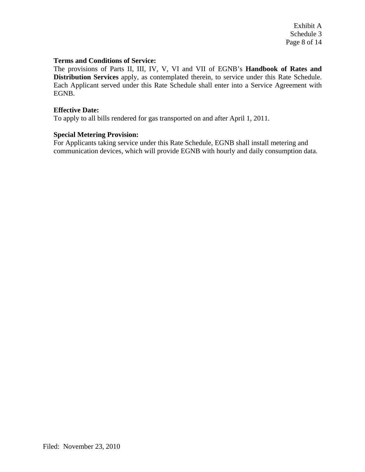Exhibit A Schedule 3 Page 8 of 14

#### **Terms and Conditions of Service:**

The provisions of Parts II, III, IV, V, VI and VII of EGNB's **Handbook of Rates and Distribution Services** apply, as contemplated therein, to service under this Rate Schedule. Each Applicant served under this Rate Schedule shall enter into a Service Agreement with EGNB.

#### **Effective Date:**

To apply to all bills rendered for gas transported on and after April 1, 2011.

### **Special Metering Provision:**

For Applicants taking service under this Rate Schedule, EGNB shall install metering and communication devices, which will provide EGNB with hourly and daily consumption data.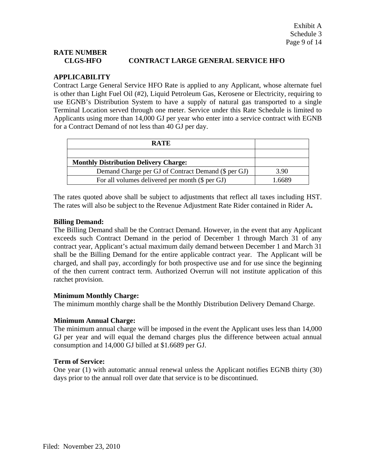# **RATE NUMBER CLGS-HFO CONTRACT LARGE GENERAL SERVICE HFO**

# **APPLICABILITY**

Contract Large General Service HFO Rate is applied to any Applicant, whose alternate fuel is other than Light Fuel Oil (#2), Liquid Petroleum Gas, Kerosene or Electricity, requiring to use EGNB's Distribution System to have a supply of natural gas transported to a single Terminal Location served through one meter. Service under this Rate Schedule is limited to Applicants using more than 14,000 GJ per year who enter into a service contract with EGNB for a Contract Demand of not less than 40 GJ per day.

| <b>RATE</b>                                         |      |
|-----------------------------------------------------|------|
|                                                     |      |
| <b>Monthly Distribution Delivery Charge:</b>        |      |
| Demand Charge per GJ of Contract Demand (\$ per GJ) | 3.90 |
| For all volumes delivered per month (\$ per GJ)     | 6689 |

The rates quoted above shall be subject to adjustments that reflect all taxes including HST. The rates will also be subject to the Revenue Adjustment Rate Rider contained in Rider A**.** 

# **Billing Demand:**

The Billing Demand shall be the Contract Demand. However, in the event that any Applicant exceeds such Contract Demand in the period of December 1 through March 31 of any contract year, Applicant's actual maximum daily demand between December 1 and March 31 shall be the Billing Demand for the entire applicable contract year. The Applicant will be charged, and shall pay, accordingly for both prospective use and for use since the beginning of the then current contract term. Authorized Overrun will not institute application of this ratchet provision.

# **Minimum Monthly Charge:**

The minimum monthly charge shall be the Monthly Distribution Delivery Demand Charge.

### **Minimum Annual Charge:**

The minimum annual charge will be imposed in the event the Applicant uses less than 14,000 GJ per year and will equal the demand charges plus the difference between actual annual consumption and 14,000 GJ billed at \$1.6689 per GJ.

# **Term of Service:**

One year (1) with automatic annual renewal unless the Applicant notifies EGNB thirty (30) days prior to the annual roll over date that service is to be discontinued.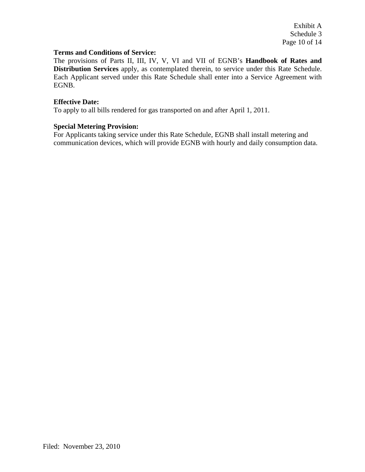Exhibit A Schedule 3 Page 10 of 14

### **Terms and Conditions of Service:**

The provisions of Parts II, III, IV, V, VI and VII of EGNB's **Handbook of Rates and Distribution Services** apply, as contemplated therein, to service under this Rate Schedule. Each Applicant served under this Rate Schedule shall enter into a Service Agreement with EGNB.

### **Effective Date:**

To apply to all bills rendered for gas transported on and after April 1, 2011.

### **Special Metering Provision:**

For Applicants taking service under this Rate Schedule, EGNB shall install metering and communication devices, which will provide EGNB with hourly and daily consumption data.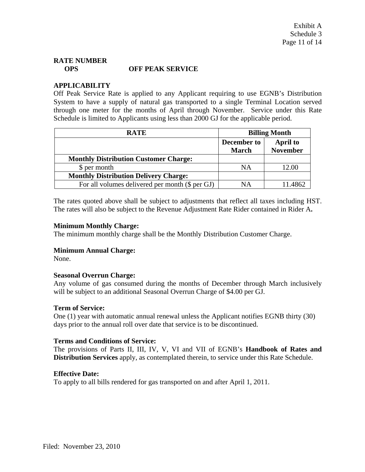# **RATE NUMBER OPS OFF PEAK SERVICE**

# **APPLICABILITY**

Off Peak Service Rate is applied to any Applicant requiring to use EGNB's Distribution System to have a supply of natural gas transported to a single Terminal Location served through one meter for the months of April through November. Service under this Rate Schedule is limited to Applicants using less than 2000 GJ for the applicable period.

| <b>RATE</b>                                       | <b>Billing Month</b>        |                             |
|---------------------------------------------------|-----------------------------|-----------------------------|
|                                                   | December to<br><b>March</b> | April to<br><b>November</b> |
| <b>Monthly Distribution Customer Charge:</b>      |                             |                             |
| \$ per month                                      | NA                          | 12.00                       |
| <b>Monthly Distribution Delivery Charge:</b>      |                             |                             |
| For all volumes delivered per month $(\$$ per GJ) | NΑ                          |                             |

The rates quoted above shall be subject to adjustments that reflect all taxes including HST. The rates will also be subject to the Revenue Adjustment Rate Rider contained in Rider A**.** 

### **Minimum Monthly Charge:**

The minimum monthly charge shall be the Monthly Distribution Customer Charge.

### **Minimum Annual Charge:**

None.

### **Seasonal Overrun Charge:**

Any volume of gas consumed during the months of December through March inclusively will be subject to an additional Seasonal Overrun Charge of \$4.00 per GJ.

### **Term of Service:**

One (1) year with automatic annual renewal unless the Applicant notifies EGNB thirty (30) days prior to the annual roll over date that service is to be discontinued.

### **Terms and Conditions of Service:**

The provisions of Parts II, III, IV, V, VI and VII of EGNB's **Handbook of Rates and Distribution Services** apply, as contemplated therein, to service under this Rate Schedule.

### **Effective Date:**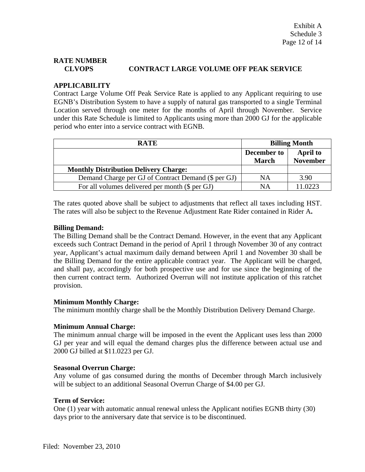# **RATE NUMBER CLVOPS CONTRACT LARGE VOLUME OFF PEAK SERVICE**

# **APPLICABILITY**

Contract Large Volume Off Peak Service Rate is applied to any Applicant requiring to use EGNB's Distribution System to have a supply of natural gas transported to a single Terminal Location served through one meter for the months of April through November. Service under this Rate Schedule is limited to Applicants using more than 2000 GJ for the applicable period who enter into a service contract with EGNB.

| <b>RATE</b>                                         | <b>Billing Month</b> |                 |
|-----------------------------------------------------|----------------------|-----------------|
|                                                     | December to          | <b>April to</b> |
|                                                     | <b>March</b>         | <b>November</b> |
| <b>Monthly Distribution Delivery Charge:</b>        |                      |                 |
| Demand Charge per GJ of Contract Demand (\$ per GJ) | NA                   | 3.90            |
| For all volumes delivered per month (\$ per GJ)     | NΑ                   | 11.0223         |

The rates quoted above shall be subject to adjustments that reflect all taxes including HST. The rates will also be subject to the Revenue Adjustment Rate Rider contained in Rider A**.** 

# **Billing Demand:**

The Billing Demand shall be the Contract Demand. However, in the event that any Applicant exceeds such Contract Demand in the period of April 1 through November 30 of any contract year, Applicant's actual maximum daily demand between April 1 and November 30 shall be the Billing Demand for the entire applicable contract year. The Applicant will be charged, and shall pay, accordingly for both prospective use and for use since the beginning of the then current contract term. Authorized Overrun will not institute application of this ratchet provision.

# **Minimum Monthly Charge:**

The minimum monthly charge shall be the Monthly Distribution Delivery Demand Charge.

# **Minimum Annual Charge:**

The minimum annual charge will be imposed in the event the Applicant uses less than 2000 GJ per year and will equal the demand charges plus the difference between actual use and 2000 GJ billed at \$11.0223 per GJ.

# **Seasonal Overrun Charge:**

Any volume of gas consumed during the months of December through March inclusively will be subject to an additional Seasonal Overrun Charge of \$4.00 per GJ.

# **Term of Service:**

One (1) year with automatic annual renewal unless the Applicant notifies EGNB thirty (30) days prior to the anniversary date that service is to be discontinued.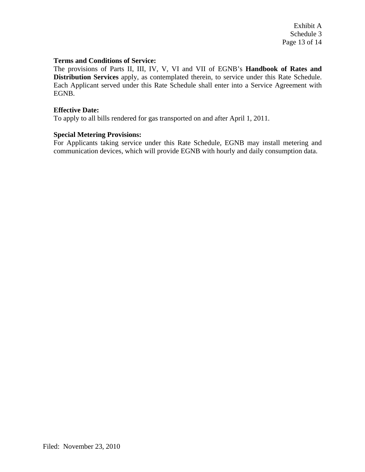Exhibit A Schedule 3 Page 13 of 14

#### **Terms and Conditions of Service:**

The provisions of Parts II, III, IV, V, VI and VII of EGNB's **Handbook of Rates and Distribution Services** apply, as contemplated therein, to service under this Rate Schedule. Each Applicant served under this Rate Schedule shall enter into a Service Agreement with EGNB.

#### **Effective Date:**

To apply to all bills rendered for gas transported on and after April 1, 2011.

#### **Special Metering Provisions:**

For Applicants taking service under this Rate Schedule, EGNB may install metering and communication devices, which will provide EGNB with hourly and daily consumption data.